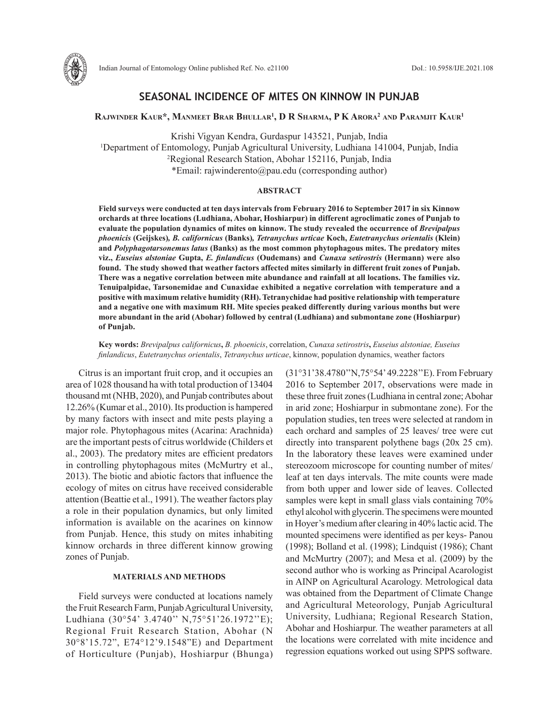

# **SEASONAL INCIDENCE OF MITES ON KINNOW IN PUNJAB**

**Rajwinder Kaur\*, Manmeet Brar Bhullar1 , D R Sharma, P K Arora2 and Paramjit Kaur1**

Krishi Vigyan Kendra, Gurdaspur 143521, Punjab, India 1 Department of Entomology, Punjab Agricultural University, Ludhiana 141004, Punjab, India 2 Regional Research Station, Abohar 152116, Punjab, India \*Email: rajwinderento@pau.edu (corresponding author)

# **ABSTRACT**

**Field surveys were conducted at ten days intervals from February 2016 to September 2017 in six Kinnow orchards at three locations (Ludhiana, Abohar, Hoshiarpur) in different agroclimatic zones of Punjab to evaluate the population dynamics of mites on kinnow. The study revealed the occurrence of** *Brevipalpus phoenicis* **(Geijskes)***, B. californicus* **(Banks)***, Tetranychus urticae* **Koch,** *Eutetranychus orientalis* **(Klein) and** *Polyphagotarsonemus latus* **(Banks) as the most common phytophagous mites. The predatory mites viz.,** *Euseius alstoniae* **Gupta,** *E. finlandicus* **(Oudemans) and** *Cunaxa setirostris* **(Hermann) were also found. The study showed that weather factors affected mites similarly in different fruit zones of Punjab. There was a negative correlation between mite abundance and rainfall at all locations. The families viz. Tenuipalpidae, Tarsonemidae and Cunaxidae exhibited a negative correlation with temperature and a positive with maximum relative humidity (RH). Tetranychidae had positive relationship with temperature and a negative one with maximum RH. Mite species peaked differently during various months but were more abundant in the arid (Abohar) followed by central (Ludhiana) and submontane zone (Hoshiarpur) of Punjab.** 

**Key words:** *Brevipalpus californicus***,** *B. phoenicis*, correlation, *Cunaxa setirostris***,** *Euseius alstoniae, Euseius finlandicus*, *Eutetranychus orientalis*, *Tetranychus urticae*, kinnow, population dynamics, weather factors

Citrus is an important fruit crop, and it occupies an area of 1028 thousand ha with total production of 13404 thousand mt (NHB, 2020), and Punjab contributes about 12.26% (Kumar et al., 2010). Its production is hampered by many factors with insect and mite pests playing a major role. Phytophagous mites (Acarina: Arachnida) are the important pests of citrus worldwide (Childers et al., 2003). The predatory mites are efficient predators in controlling phytophagous mites (McMurtry et al., 2013). The biotic and abiotic factors that influence the ecology of mites on citrus have received considerable attention (Beattie et al., 1991). The weather factors play a role in their population dynamics, but only limited information is available on the acarines on kinnow from Punjab. Hence, this study on mites inhabiting kinnow orchards in three different kinnow growing zones of Punjab.

# **MATERIALS AND METHODS**

Field surveys were conducted at locations namely the Fruit Research Farm, Punjab Agricultural University, Ludhiana (30°54' 3.4740'' N,75°51'26.1972''E); Regional Fruit Research Station, Abohar (N 30°8'15.72", E74°12'9.1548"E) and Department of Horticulture (Punjab), Hoshiarpur (Bhunga) (31°31'38.4780''N,75°54' 49.2228''E). From February 2016 to September 2017, observations were made in these three fruit zones (Ludhiana in central zone; Abohar in arid zone; Hoshiarpur in submontane zone). For the population studies, ten trees were selected at random in each orchard and samples of 25 leaves/ tree were cut directly into transparent polythene bags (20x 25 cm). In the laboratory these leaves were examined under stereozoom microscope for counting number of mites/ leaf at ten days intervals. The mite counts were made from both upper and lower side of leaves. Collected samples were kept in small glass vials containing 70% ethyl alcohol with glycerin. The specimens were mounted in Hoyer's medium after clearing in 40% lactic acid. The mounted specimens were identified as per keys- Panou (1998); Bolland et al. (1998); Lindquist (1986); Chant and McMurtry (2007); and Mesa et al. (2009) by the second author who is working as Principal Acarologist in AINP on Agricultural Acarology. Metrological data was obtained from the Department of Climate Change and Agricultural Meteorology, Punjab Agricultural University, Ludhiana; Regional Research Station, Abohar and Hoshiarpur. The weather parameters at all the locations were correlated with mite incidence and regression equations worked out using SPPS software.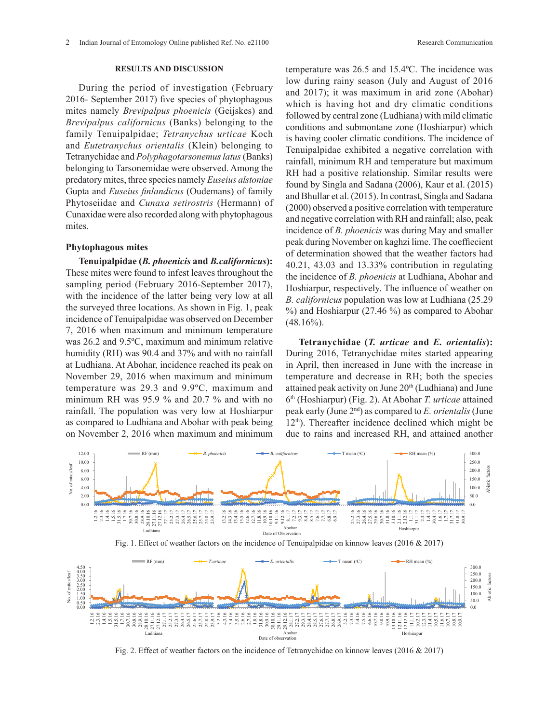## **RESULTS AND DISCUSSION**

During the period of investigation (February 2016- September 2017) five species of phytophagous mites namely *Brevipalpus phoenicis* (Geijskes) and *Brevipalpus californicus* (Banks) belonging to the family Tenuipalpidae; *Tetranychus urticae* Koch and *Eutetranychus orientalis* (Klein) belonging to Tetranychidae and *Polyphagotarsonemus latus* (Banks) belonging to Tarsonemidae were observed. Among the predatory mites, three species namely *Euseius alstoniae*  Gupta and *Euseius finlandicus* (Oudemans) of family Phytoseiidae and *Cunaxa setirostris* (Hermann) of Cunaxidae were also recorded along with phytophagous mites.

## **Phytophagous mites**

**Tenuipalpidae (***B. phoenicis* **and** *B.californicus***):** These mites were found to infest leaves throughout the sampling period (February 2016-September 2017), with the incidence of the latter being very low at all the surveyed three locations. As shown in Fig. 1, peak incidence of Tenuipalpidae was observed on December 7, 2016 when maximum and minimum temperature was 26.2 and 9.5ºC, maximum and minimum relative humidity (RH) was 90.4 and 37% and with no rainfall at Ludhiana. At Abohar, incidence reached its peak on November 29, 2016 when maximum and minimum temperature was 29.3 and 9.9ºC, maximum and minimum RH was 95.9 % and 20.7 % and with no rainfall. The population was very low at Hoshiarpur as compared to Ludhiana and Abohar with peak being on November 2, 2016 when maximum and minimum temperature was 26.5 and 15.4ºC. The incidence was low during rainy season (July and August of 2016 and 2017); it was maximum in arid zone (Abohar) which is having hot and dry climatic conditions followed by central zone (Ludhiana) with mild climatic conditions and submontane zone (Hoshiarpur) which is having cooler climatic conditions. The incidence of Tenuipalpidae exhibited a negative correlation with rainfall, minimum RH and temperature but maximum RH had a positive relationship. Similar results were found by Singla and Sadana (2006), Kaur et al. (2015) and Bhullar et al. (2015). In contrast, Singla and Sadana (2000) observed a positive correlation with temperature and negative correlation with RH and rainfall; also, peak incidence of *B. phoenicis* was during May and smaller peak during November on kaghzi lime. The coeffiecient of determination showed that the weather factors had 40.21, 43.03 and 13.33% contribution in regulating the incidence of *B. phoenicis* at Ludhiana, Abohar and Hoshiarpur, respectively. The influence of weather on *B. californicus* population was low at Ludhiana (25.29 %) and Hoshiarpur (27.46 %) as compared to Abohar  $(48.16\%)$ .

**Tetranychidae (***T. urticae* **and** *E. orientalis***):** During 2016, Tetranychidae mites started appearing in April, then increased in June with the increase in temperature and decrease in RH; both the species attained peak activity on June  $20<sup>th</sup>$  (Ludhiana) and June 6th (Hoshiarpur) (Fig. 2). At Abohar *T. urticae* attained peak early (June 2nd) as compared to *E. orientalis* (June  $12<sup>th</sup>$ ). Thereafter incidence declined which might be due to rains and increased RH, and attained another



Fig. 2. Effect of weather factors on the incidence of Tetranychidae on kinnow leaves (2016 & 2017)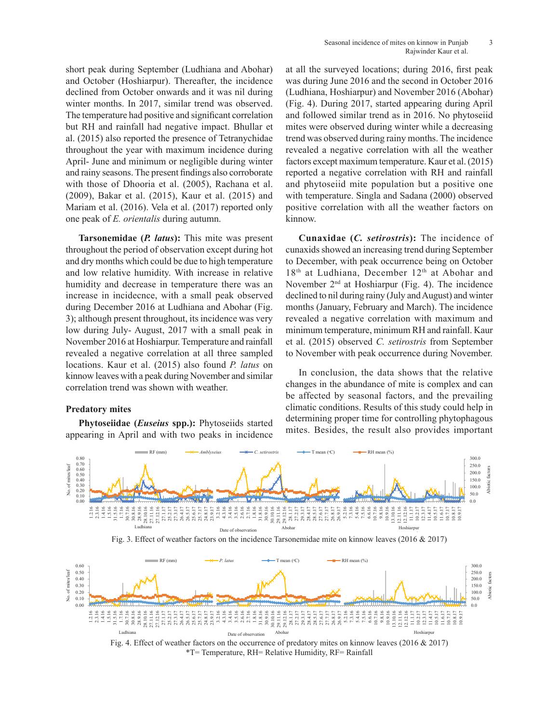short peak during September (Ludhiana and Abohar) and October (Hoshiarpur). Thereafter, the incidence declined from October onwards and it was nil during winter months. In 2017, similar trend was observed. The temperature had positive and significant correlation but RH and rainfall had negative impact. Bhullar et al. (2015) also reported the presence of Tetranychidae throughout the year with maximum incidence during April- June and minimum or negligible during winter and rainy seasons. The present findings also corroborate with those of Dhooria et al. (2005), Rachana et al. (2009), Bakar et al. (2015), Kaur et al. (2015) and Mariam et al. (2016). Vela et al. (2017) reported only one peak of *E. orientalis* during autumn.

**Tarsonemidae (***P. latus***):** This mite was present throughout the period of observation except during hot and dry months which could be due to high temperature and low relative humidity. With increase in relative humidity and decrease in temperature there was an increase in incidecnce, with a small peak observed during December 2016 at Ludhiana and Abohar (Fig. 3); although present throughout, its incidence was very low during July- August, 2017 with a small peak in November 2016 at Hoshiarpur. Temperature and rainfall revealed a negative correlation at all three sampled locations. Kaur et al. (2015) also found *P. latus* on kinnow leaves with a peak during November and similar correlation trend was shown with weather.

# **Predatory mites**

**Phytoseiidae (***Euseius* **spp.):** Phytoseiids started appearing in April and with two peaks in incidence at all the surveyed locations; during 2016, first peak was during June 2016 and the second in October 2016 (Ludhiana, Hoshiarpur) and November 2016 (Abohar) (Fig. 4). During 2017, started appearing during April and followed similar trend as in 2016. No phytoseiid mites were observed during winter while a decreasing trend was observed during rainy months. The incidence revealed a negative correlation with all the weather factors except maximum temperature. Kaur et al. (2015) reported a negative correlation with RH and rainfall and phytoseiid mite population but a positive one with temperature. Singla and Sadana (2000) observed positive correlation with all the weather factors on kinnow.

**Cunaxidae (***C. setirostris***):** The incidence of cunaxids showed an increasing trend during September to December, with peak occurrence being on October  $18<sup>th</sup>$  at Ludhiana, December  $12<sup>th</sup>$  at Abohar and November 2nd at Hoshiarpur (Fig. 4). The incidence declined to nil during rainy (July and August) and winter months (January, February and March). The incidence revealed a negative correlation with maximum and minimum temperature, minimum RH and rainfall. Kaur et al. (2015) observed *C. setirostris* from September to November with peak occurrence during November.

In conclusion, the data shows that the relative changes in the abundance of mite is complex and can be affected by seasonal factors, and the prevailing climatic conditions. Results of this study could help in determining proper time for controlling phytophagous mites. Besides, the result also provides important



Fig. 4. Effect of weather factors on the occurrence of predatory mites on kinnow leaves (2016 & 2017) \*T= Temperature, RH= Relative Humidity, RF= Rainfall